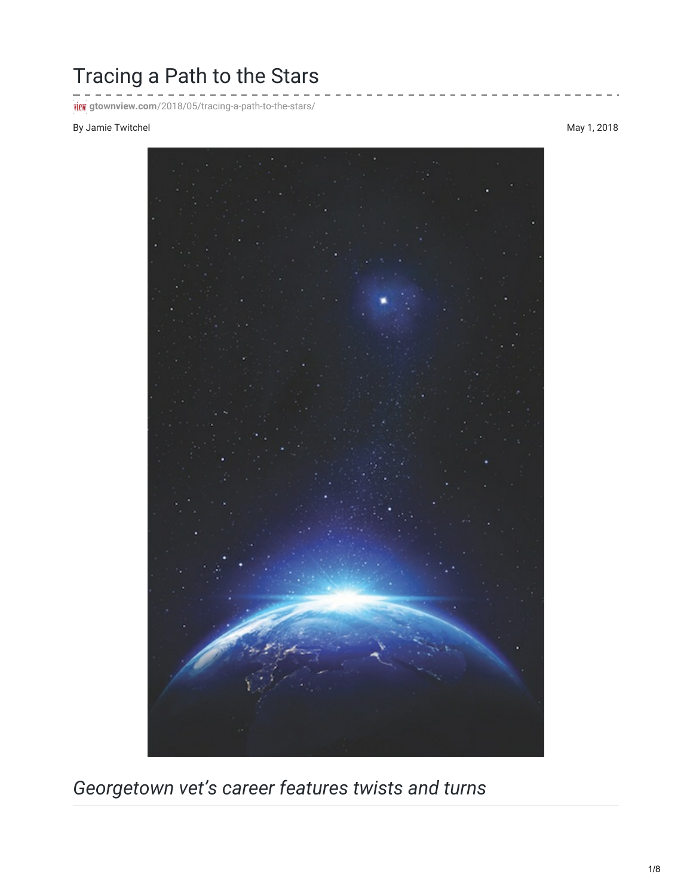## Tracing a Path to the Stars

**ich** gtownview.com[/2018/05/tracing-a-path-to-the-stars/](http://gtownview.com/2018/05/tracing-a-path-to-the-stars/)

## By Jamie Twitchel May 1, 2018



*Georgetown vet's career features twists and turns*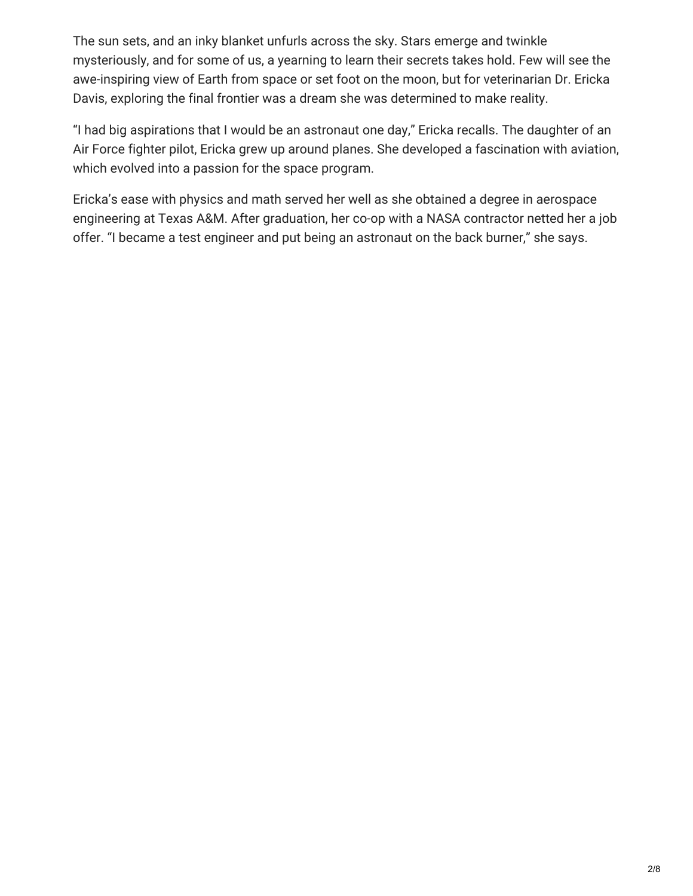The sun sets, and an inky blanket unfurls across the sky. Stars emerge and twinkle mysteriously, and for some of us, a yearning to learn their secrets takes hold. Few will see the awe-inspiring view of Earth from space or set foot on the moon, but for veterinarian Dr. Ericka Davis, exploring the final frontier was a dream she was determined to make reality.

"I had big aspirations that I would be an astronaut one day," Ericka recalls. The daughter of an Air Force fighter pilot, Ericka grew up around planes. She developed a fascination with aviation, which evolved into a passion for the space program.

Ericka's ease with physics and math served her well as she obtained a degree in aerospace engineering at Texas A&M. After graduation, her co-op with a NASA contractor netted her a job offer. "I became a test engineer and put being an astronaut on the back burner," she says.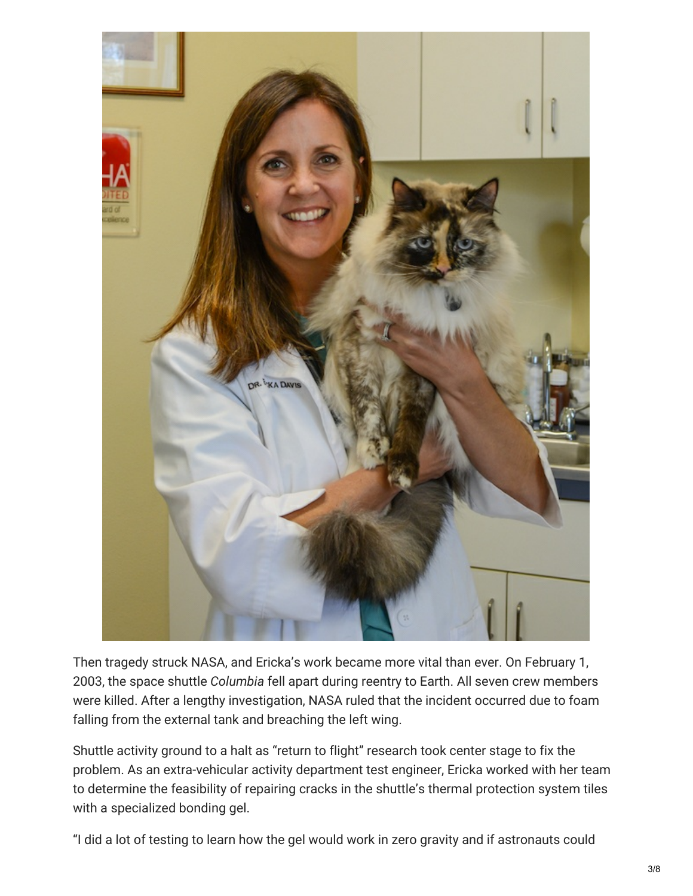

Then tragedy struck NASA, and Ericka's work became more vital than ever. On February 1, 2003, the space shuttle *Columbia* fell apart during reentry to Earth. All seven crew members were killed. After a lengthy investigation, NASA ruled that the incident occurred due to foam falling from the external tank and breaching the left wing.

Shuttle activity ground to a halt as "return to flight" research took center stage to fix the problem. As an extra-vehicular activity department test engineer, Ericka worked with her team to determine the feasibility of repairing cracks in the shuttle's thermal protection system tiles with a specialized bonding gel.

"I did a lot of testing to learn how the gel would work in zero gravity and if astronauts could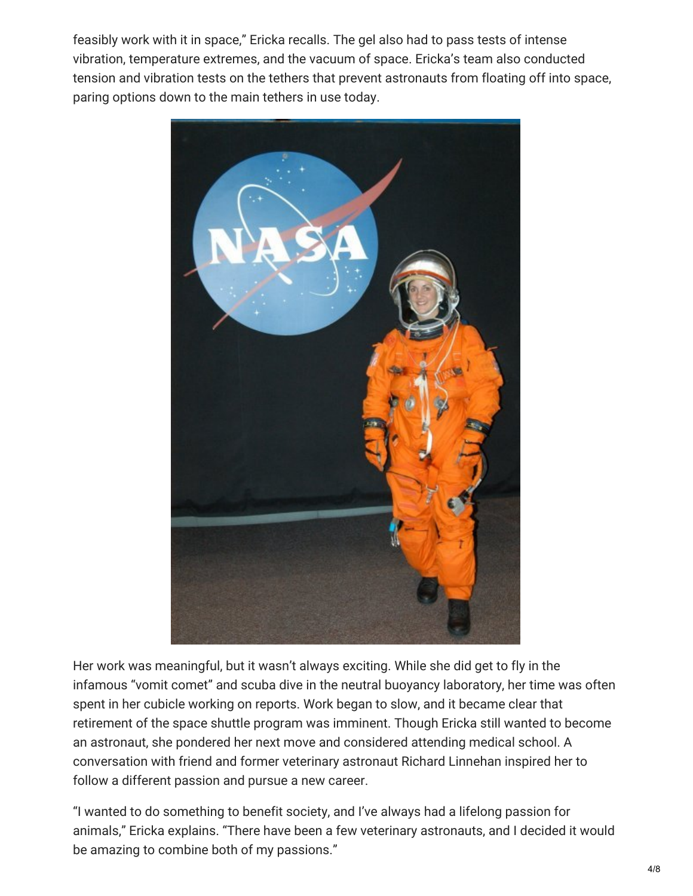feasibly work with it in space," Ericka recalls. The gel also had to pass tests of intense vibration, temperature extremes, and the vacuum of space. Ericka's team also conducted tension and vibration tests on the tethers that prevent astronauts from floating off into space, paring options down to the main tethers in use today.



Her work was meaningful, but it wasn't always exciting. While she did get to fly in the infamous "vomit comet" and scuba dive in the neutral buoyancy laboratory, her time was often spent in her cubicle working on reports. Work began to slow, and it became clear that retirement of the space shuttle program was imminent. Though Ericka still wanted to become an astronaut, she pondered her next move and considered attending medical school. A conversation with friend and former veterinary astronaut Richard Linnehan inspired her to follow a different passion and pursue a new career.

"I wanted to do something to benefit society, and I've always had a lifelong passion for animals," Ericka explains. "There have been a few veterinary astronauts, and I decided it would be amazing to combine both of my passions."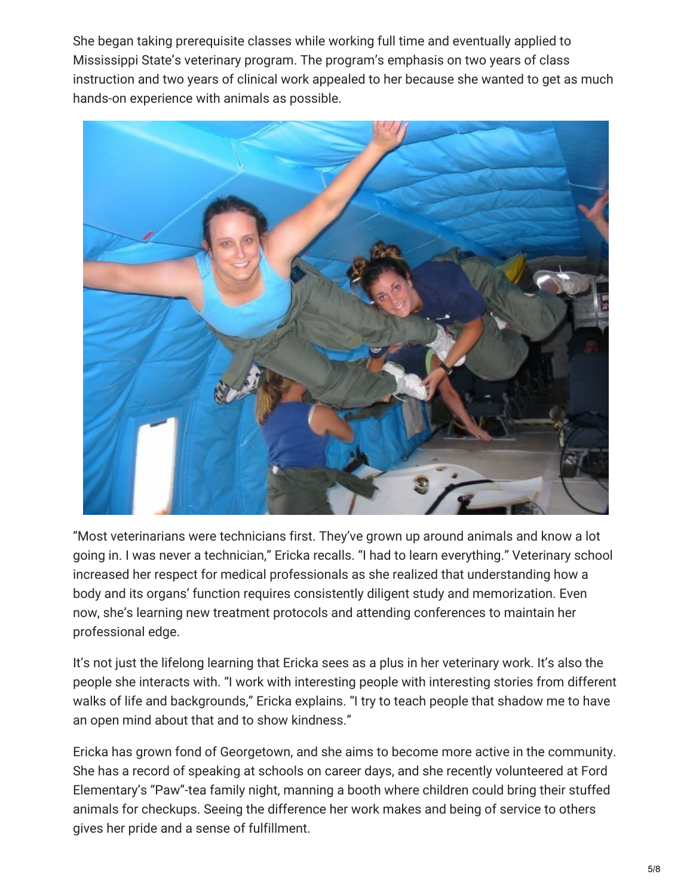She began taking prerequisite classes while working full time and eventually applied to Mississippi State's veterinary program. The program's emphasis on two years of class instruction and two years of clinical work appealed to her because she wanted to get as much hands-on experience with animals as possible.



"Most veterinarians were technicians first. They've grown up around animals and know a lot going in. I was never a technician," Ericka recalls. "I had to learn everything." Veterinary school increased her respect for medical professionals as she realized that understanding how a body and its organs' function requires consistently diligent study and memorization. Even now, she's learning new treatment protocols and attending conferences to maintain her professional edge.

It's not just the lifelong learning that Ericka sees as a plus in her veterinary work. It's also the people she interacts with. "I work with interesting people with interesting stories from different walks of life and backgrounds," Ericka explains. "I try to teach people that shadow me to have an open mind about that and to show kindness."

Ericka has grown fond of Georgetown, and she aims to become more active in the community. She has a record of speaking at schools on career days, and she recently volunteered at Ford Elementary's "Paw"-tea family night, manning a booth where children could bring their stuffed animals for checkups. Seeing the difference her work makes and being of service to others gives her pride and a sense of fulfillment.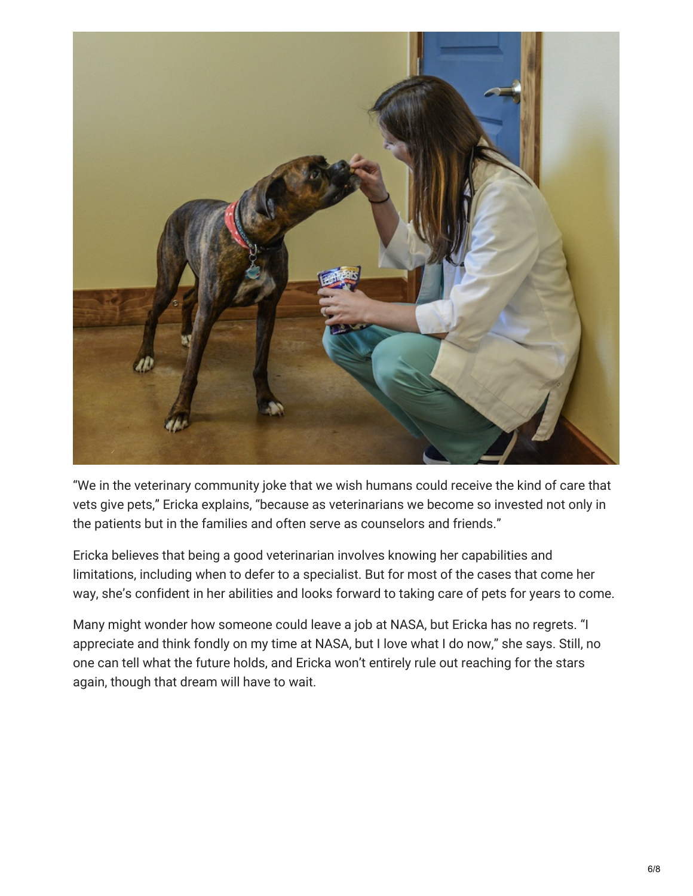

"We in the veterinary community joke that we wish humans could receive the kind of care that vets give pets," Ericka explains, "because as veterinarians we become so invested not only in the patients but in the families and often serve as counselors and friends."

Ericka believes that being a good veterinarian involves knowing her capabilities and limitations, including when to defer to a specialist. But for most of the cases that come her way, she's confident in her abilities and looks forward to taking care of pets for years to come.

Many might wonder how someone could leave a job at NASA, but Ericka has no regrets. "I appreciate and think fondly on my time at NASA, but I love what I do now," she says. Still, no one can tell what the future holds, and Ericka won't entirely rule out reaching for the stars again, though that dream will have to wait.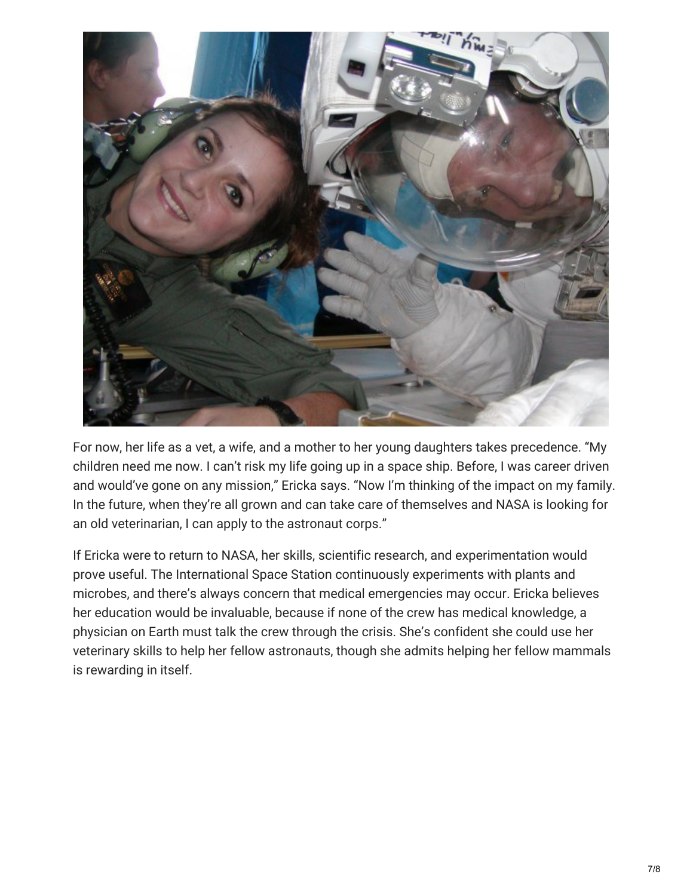

For now, her life as a vet, a wife, and a mother to her young daughters takes precedence. "My children need me now. I can't risk my life going up in a space ship. Before, I was career driven and would've gone on any mission," Ericka says. "Now I'm thinking of the impact on my family. In the future, when they're all grown and can take care of themselves and NASA is looking for an old veterinarian, I can apply to the astronaut corps."

If Ericka were to return to NASA, her skills, scientific research, and experimentation would prove useful. The International Space Station continuously experiments with plants and microbes, and there's always concern that medical emergencies may occur. Ericka believes her education would be invaluable, because if none of the crew has medical knowledge, a physician on Earth must talk the crew through the crisis. She's confident she could use her veterinary skills to help her fellow astronauts, though she admits helping her fellow mammals is rewarding in itself.